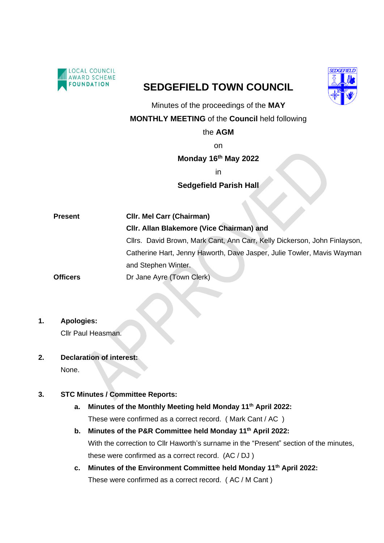

# **SEDGEFIELD TOWN COUNCIL**



Minutes of the proceedings of the **MAY**

**MONTHLY MEETING** of the **Council** held following

#### the **AGM**

on

**Monday 16 th May 2022**

in

### **Sedgefield Parish Hall**

| <b>Present</b>  | <b>CIIr. Mel Carr (Chairman)</b>                                          |
|-----------------|---------------------------------------------------------------------------|
|                 | CIIr. Allan Blakemore (Vice Chairman) and                                 |
|                 | Cllrs. David Brown, Mark Cant, Ann Carr, Kelly Dickerson, John Finlayson, |
|                 | Catherine Hart, Jenny Haworth, Dave Jasper, Julie Towler, Mavis Wayman    |
|                 | and Stephen Winter.                                                       |
| <b>Officers</b> | Dr Jane Ayre (Town Clerk)                                                 |

### **1. Apologies:**

Cllr Paul Heasman.

**2. Declaration of interest:** None.

### **3. STC Minutes / Committee Reports:**

- **a. Minutes of the Monthly Meeting held Monday 11 th April 2022:** These were confirmed as a correct record. ( Mark Cant / AC )
- **b. Minutes of the P&R Committee held Monday 11 th April 2022:** With the correction to Cllr Haworth's surname in the "Present" section of the minutes, these were confirmed as a correct record. (AC / DJ )
- **c. Minutes of the Environment Committee held Monday 11th April 2022:** These were confirmed as a correct record. ( AC / M Cant )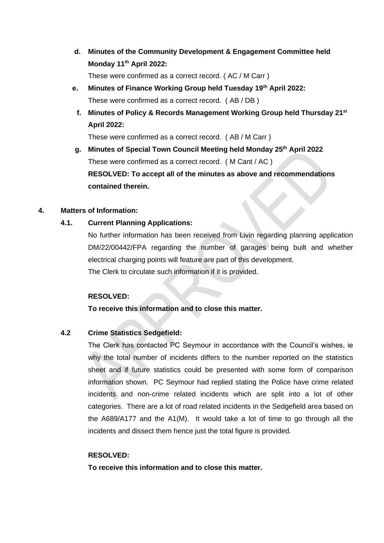**d. Minutes of the Community Development & Engagement Committee held Monday 11th April 2022:**

These were confirmed as a correct record. ( AC / M Carr )

- **e. Minutes of Finance Working Group held Tuesday 19th April 2022:** These were confirmed as a correct record. ( AB / DB )
- **f. Minutes of Policy & Records Management Working Group held Thursday 21st April 2022:**

These were confirmed as a correct record. ( AB / M Carr )

**g. Minutes of Special Town Council Meeting held Monday 25th April 2022** These were confirmed as a correct record. ( M Cant / AC ) **RESOLVED: To accept all of the minutes as above and recommendations contained therein.**

#### **4. Matters of Information:**

### **4.1. Current Planning Applications:**

No further information has been received from Livin regarding planning application DM/22/00442/FPA regarding the number of garages being built and whether electrical charging points will feature are part of this development. The Clerk to circulate such information if it is provided.

#### **RESOLVED:**

**To receive this information and to close this matter.**

### **4.2 Crime Statistics Sedgefield:**

The Clerk has contacted PC Seymour in accordance with the Council's wishes, ie why the total number of incidents differs to the number reported on the statistics sheet and if future statistics could be presented with some form of comparison information shown. PC Seymour had replied stating the Police have crime related incidents and non-crime related incidents which are split into a lot of other categories. There are a lot of road related incidents in the Sedgefield area based on the A689/A177 and the A1(M). It would take a lot of time to go through all the incidents and dissect them hence just the total figure is provided.

#### **RESOLVED:**

**To receive this information and to close this matter.**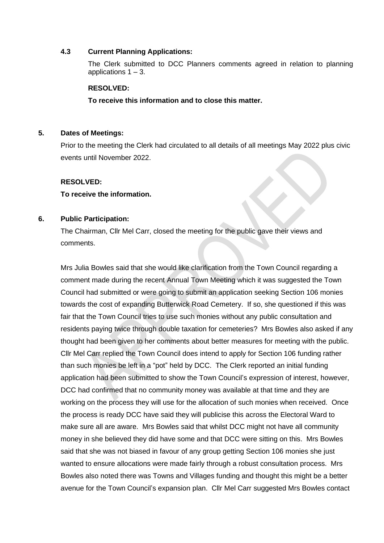#### **4.3 Current Planning Applications:**

The Clerk submitted to DCC Planners comments agreed in relation to planning applications  $1 - 3$ .

#### **RESOLVED:**

**To receive this information and to close this matter.**

#### **5. Dates of Meetings:**

Prior to the meeting the Clerk had circulated to all details of all meetings May 2022 plus civic events until November 2022.

#### **RESOLVED:**

#### **To receive the information.**

#### **6. Public Participation:**

The Chairman, Cllr Mel Carr, closed the meeting for the public gave their views and comments.

Mrs Julia Bowles said that she would like clarification from the Town Council regarding a comment made during the recent Annual Town Meeting which it was suggested the Town Council had submitted or were going to submit an application seeking Section 106 monies towards the cost of expanding Butterwick Road Cemetery. If so, she questioned if this was fair that the Town Council tries to use such monies without any public consultation and residents paying twice through double taxation for cemeteries? Mrs Bowles also asked if any thought had been given to her comments about better measures for meeting with the public. Cllr Mel Carr replied the Town Council does intend to apply for Section 106 funding rather than such monies be left in a "pot" held by DCC. The Clerk reported an initial funding application had been submitted to show the Town Council's expression of interest, however, DCC had confirmed that no community money was available at that time and they are working on the process they will use for the allocation of such monies when received. Once the process is ready DCC have said they will publicise this across the Electoral Ward to make sure all are aware. Mrs Bowles said that whilst DCC might not have all community money in she believed they did have some and that DCC were sitting on this. Mrs Bowles said that she was not biased in favour of any group getting Section 106 monies she just wanted to ensure allocations were made fairly through a robust consultation process. Mrs Bowles also noted there was Towns and Villages funding and thought this might be a better avenue for the Town Council's expansion plan. Cllr Mel Carr suggested Mrs Bowles contact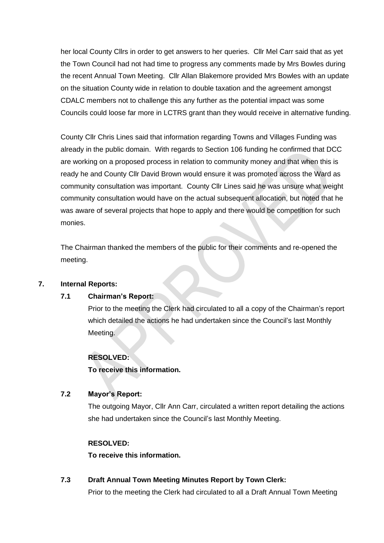her local County Cllrs in order to get answers to her queries. Cllr Mel Carr said that as yet the Town Council had not had time to progress any comments made by Mrs Bowles during the recent Annual Town Meeting. Cllr Allan Blakemore provided Mrs Bowles with an update on the situation County wide in relation to double taxation and the agreement amongst CDALC members not to challenge this any further as the potential impact was some Councils could loose far more in LCTRS grant than they would receive in alternative funding.

County Cllr Chris Lines said that information regarding Towns and Villages Funding was already in the public domain. With regards to Section 106 funding he confirmed that DCC are working on a proposed process in relation to community money and that when this is ready he and County Cllr David Brown would ensure it was promoted across the Ward as community consultation was important. County Cllr Lines said he was unsure what weight community consultation would have on the actual subsequent allocation, but noted that he was aware of several projects that hope to apply and there would be competition for such monies.

The Chairman thanked the members of the public for their comments and re-opened the meeting.

### **7. Internal Reports:**

### **7.1 Chairman's Report:**

Prior to the meeting the Clerk had circulated to all a copy of the Chairman's report which detailed the actions he had undertaken since the Council's last Monthly Meeting.

#### **RESOLVED:**

**To receive this information.**

#### **7.2 Mayor's Report:**

The outgoing Mayor, Cllr Ann Carr, circulated a written report detailing the actions she had undertaken since the Council's last Monthly Meeting.

#### **RESOLVED:**

**To receive this information.**

**7.3 Draft Annual Town Meeting Minutes Report by Town Clerk:**

Prior to the meeting the Clerk had circulated to all a Draft Annual Town Meeting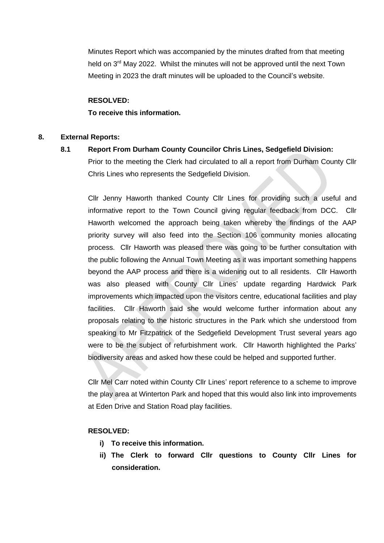Minutes Report which was accompanied by the minutes drafted from that meeting held on  $3<sup>rd</sup>$  May 2022. Whilst the minutes will not be approved until the next Town Meeting in 2023 the draft minutes will be uploaded to the Council's website.

#### **RESOLVED:**

#### **To receive this information.**

#### **8. External Reports:**

### **8.1 Report From Durham County Councilor Chris Lines, Sedgefield Division:**

Prior to the meeting the Clerk had circulated to all a report from Durham County Cllr Chris Lines who represents the Sedgefield Division.

Cllr Jenny Haworth thanked County Cllr Lines for providing such a useful and informative report to the Town Council giving regular feedback from DCC. Cllr Haworth welcomed the approach being taken whereby the findings of the AAP priority survey will also feed into the Section 106 community monies allocating process. Cllr Haworth was pleased there was going to be further consultation with the public following the Annual Town Meeting as it was important something happens beyond the AAP process and there is a widening out to all residents. Cllr Haworth was also pleased with County Cllr Lines' update regarding Hardwick Park improvements which impacted upon the visitors centre, educational facilities and play facilities. Cllr Haworth said she would welcome further information about any proposals relating to the historic structures in the Park which she understood from speaking to Mr Fitzpatrick of the Sedgefield Development Trust several years ago were to be the subject of refurbishment work. Cllr Haworth highlighted the Parks' biodiversity areas and asked how these could be helped and supported further.

Cllr Mel Carr noted within County Cllr Lines' report reference to a scheme to improve the play area at Winterton Park and hoped that this would also link into improvements at Eden Drive and Station Road play facilities.

#### **RESOLVED:**

- **i) To receive this information.**
- **ii) The Clerk to forward Cllr questions to County Cllr Lines for consideration.**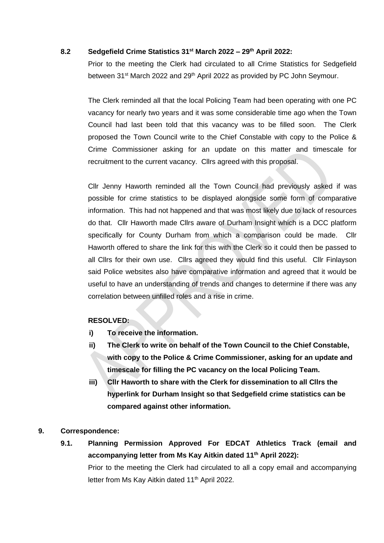### **8.2 Sedgefield Crime Statistics 31st March 2022 – 29th April 2022:**

Prior to the meeting the Clerk had circulated to all Crime Statistics for Sedgefield between 31<sup>st</sup> March 2022 and 29<sup>th</sup> April 2022 as provided by PC John Seymour.

The Clerk reminded all that the local Policing Team had been operating with one PC vacancy for nearly two years and it was some considerable time ago when the Town Council had last been told that this vacancy was to be filled soon. The Clerk proposed the Town Council write to the Chief Constable with copy to the Police & Crime Commissioner asking for an update on this matter and timescale for recruitment to the current vacancy. Cllrs agreed with this proposal.

Cllr Jenny Haworth reminded all the Town Council had previously asked if was possible for crime statistics to be displayed alongside some form of comparative information. This had not happened and that was most likely due to lack of resources do that. Cllr Haworth made Cllrs aware of Durham Insight which is a DCC platform specifically for County Durham from which a comparison could be made. Cllr Haworth offered to share the link for this with the Clerk so it could then be passed to all Cllrs for their own use. Cllrs agreed they would find this useful. Cllr Finlayson said Police websites also have comparative information and agreed that it would be useful to have an understanding of trends and changes to determine if there was any correlation between unfilled roles and a rise in crime.

### **RESOLVED:**

- **i) To receive the information.**
- **ii) The Clerk to write on behalf of the Town Council to the Chief Constable, with copy to the Police & Crime Commissioner, asking for an update and timescale for filling the PC vacancy on the local Policing Team.**
- **iii) Cllr Haworth to share with the Clerk for dissemination to all Cllrs the hyperlink for Durham Insight so that Sedgefield crime statistics can be compared against other information.**

#### **9. Correspondence:**

**9.1. Planning Permission Approved For EDCAT Athletics Track (email and accompanying letter from Ms Kay Aitkin dated 11th April 2022):** Prior to the meeting the Clerk had circulated to all a copy email and accompanying letter from Ms Kay Aitkin dated 11<sup>th</sup> April 2022.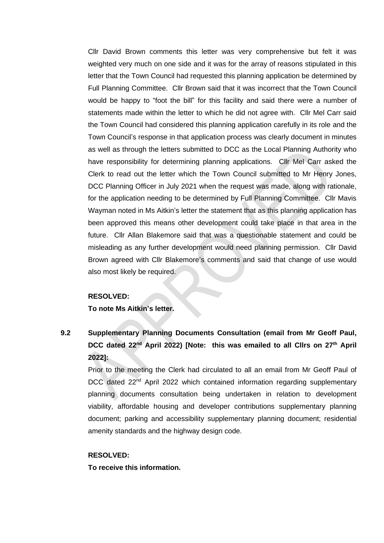Cllr David Brown comments this letter was very comprehensive but felt it was weighted very much on one side and it was for the array of reasons stipulated in this letter that the Town Council had requested this planning application be determined by Full Planning Committee. Cllr Brown said that it was incorrect that the Town Council would be happy to "foot the bill" for this facility and said there were a number of statements made within the letter to which he did not agree with. Cllr Mel Carr said the Town Council had considered this planning application carefully in its role and the Town Council's response in that application process was clearly document in minutes as well as through the letters submitted to DCC as the Local Planning Authority who have responsibility for determining planning applications. Cllr Mel Carr asked the Clerk to read out the letter which the Town Council submitted to Mr Henry Jones, DCC Planning Officer in July 2021 when the request was made, along with rationale, for the application needing to be determined by Full Planning Committee. Cllr Mavis Wayman noted in Ms Aitkin's letter the statement that as this planning application has been approved this means other development could take place in that area in the future. Cllr Allan Blakemore said that was a questionable statement and could be misleading as any further development would need planning permission. Cllr David Brown agreed with Cllr Blakemore's comments and said that change of use would also most likely be required.

#### **RESOLVED:**

**To note Ms Aitkin's letter.** 

# **9.2 Supplementary Planning Documents Consultation (email from Mr Geoff Paul, DCC dated 22nd April 2022) [Note: this was emailed to all Cllrs on 27th April 2022]:**

Prior to the meeting the Clerk had circulated to all an email from Mr Geoff Paul of DCC dated 22<sup>nd</sup> April 2022 which contained information regarding supplementary planning documents consultation being undertaken in relation to development viability, affordable housing and developer contributions supplementary planning document; parking and accessibility supplementary planning document; residential amenity standards and the highway design code.

#### **RESOLVED:**

**To receive this information.**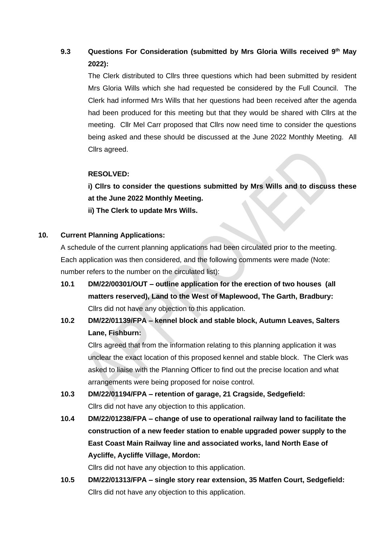# **9.3 Questions For Consideration (submitted by Mrs Gloria Wills received 9th May 2022):**

The Clerk distributed to Cllrs three questions which had been submitted by resident Mrs Gloria Wills which she had requested be considered by the Full Council. The Clerk had informed Mrs Wills that her questions had been received after the agenda had been produced for this meeting but that they would be shared with Cllrs at the meeting. Cllr Mel Carr proposed that Cllrs now need time to consider the questions being asked and these should be discussed at the June 2022 Monthly Meeting. All Cllrs agreed.

### **RESOLVED:**

**i) Cllrs to consider the questions submitted by Mrs Wills and to discuss these at the June 2022 Monthly Meeting.**

**ii) The Clerk to update Mrs Wills.** 

### **10. Current Planning Applications:**

A schedule of the current planning applications had been circulated prior to the meeting. Each application was then considered, and the following comments were made (Note: number refers to the number on the circulated list):

- **10.1 DM/22/00301/OUT – outline application for the erection of two houses (all matters reserved), Land to the West of Maplewood, The Garth, Bradbury:** Cllrs did not have any objection to this application.
- **10.2 DM/22/01139/FPA – kennel block and stable block, Autumn Leaves, Salters Lane, Fishburn:**

Cllrs agreed that from the information relating to this planning application it was unclear the exact location of this proposed kennel and stable block. The Clerk was asked to liaise with the Planning Officer to find out the precise location and what arrangements were being proposed for noise control.

- **10.3 DM/22/01194/FPA – retention of garage, 21 Cragside, Sedgefield:** Cllrs did not have any objection to this application.
- **10.4 DM/22/01238/FPA – change of use to operational railway land to facilitate the construction of a new feeder station to enable upgraded power supply to the East Coast Main Railway line and associated works, land North Ease of Aycliffe, Aycliffe Village, Mordon:**

Cllrs did not have any objection to this application.

**10.5 DM/22/01313/FPA – single story rear extension, 35 Matfen Court, Sedgefield:** Cllrs did not have any objection to this application.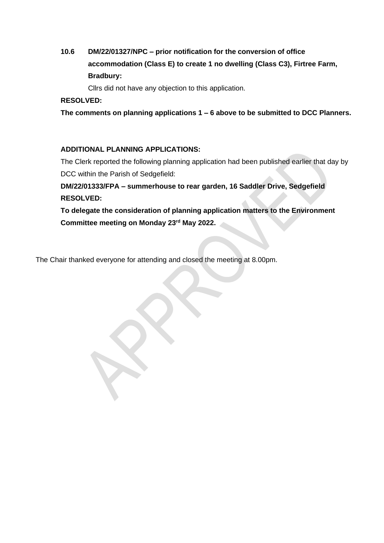# **10.6 DM/22/01327/NPC – prior notification for the conversion of office accommodation (Class E) to create 1 no dwelling (Class C3), Firtree Farm, Bradbury:**

Cllrs did not have any objection to this application.

### **RESOLVED:**

**The comments on planning applications 1 – 6 above to be submitted to DCC Planners.** 

### **ADDITIONAL PLANNING APPLICATIONS:**

The Clerk reported the following planning application had been published earlier that day by DCC within the Parish of Sedgefield:

**DM/22/01333/FPA – summerhouse to rear garden, 16 Saddler Drive, Sedgefield RESOLVED:**

**To delegate the consideration of planning application matters to the Environment Committee meeting on Monday 23rd May 2022.** 

The Chair thanked everyone for attending and closed the meeting at 8.00pm.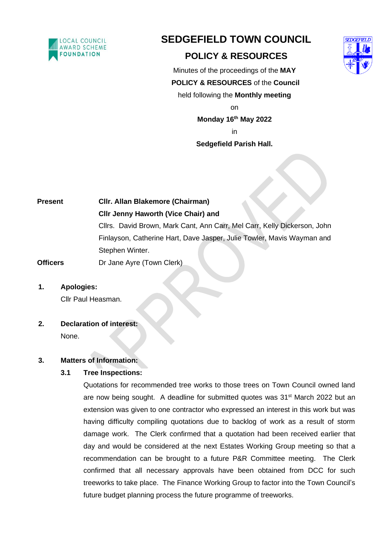

# **SEDGEFIELD TOWN COUNCIL**

# **POLICY & RESOURCES**



Minutes of the proceedings of the **MAY POLICY & RESOURCES** of the **Council**  held following the **Monthly meeting** on

**Monday 16 th May 2022** in

## **Sedgefield Parish Hall.**

**Present Cllr. Allan Blakemore (Chairman) Cllr Jenny Haworth (Vice Chair) and** Cllrs. David Brown, Mark Cant, Ann Carr, Mel Carr, Kelly Dickerson, John Finlayson, Catherine Hart, Dave Jasper, Julie Towler, Mavis Wayman and Stephen Winter.

**Officers** Dr Jane Ayre (Town Clerk)

### **1. Apologies:**

Cllr Paul Heasman.

**2. Declaration of interest:**

None.

### **3. Matters of Information:**

### **3.1 Tree Inspections:**

Quotations for recommended tree works to those trees on Town Council owned land are now being sought. A deadline for submitted quotes was 31<sup>st</sup> March 2022 but an extension was given to one contractor who expressed an interest in this work but was having difficulty compiling quotations due to backlog of work as a result of storm damage work. The Clerk confirmed that a quotation had been received earlier that day and would be considered at the next Estates Working Group meeting so that a recommendation can be brought to a future P&R Committee meeting. The Clerk confirmed that all necessary approvals have been obtained from DCC for such treeworks to take place. The Finance Working Group to factor into the Town Council's future budget planning process the future programme of treeworks.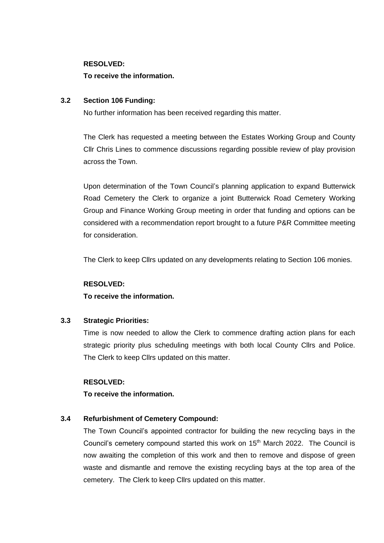#### **RESOLVED:**

#### **To receive the information.**

#### **3.2 Section 106 Funding:**

No further information has been received regarding this matter.

The Clerk has requested a meeting between the Estates Working Group and County Cllr Chris Lines to commence discussions regarding possible review of play provision across the Town.

Upon determination of the Town Council's planning application to expand Butterwick Road Cemetery the Clerk to organize a joint Butterwick Road Cemetery Working Group and Finance Working Group meeting in order that funding and options can be considered with a recommendation report brought to a future P&R Committee meeting for consideration.

The Clerk to keep Cllrs updated on any developments relating to Section 106 monies.

## **RESOLVED: To receive the information.**

### **3.3 Strategic Priorities:**

Time is now needed to allow the Clerk to commence drafting action plans for each strategic priority plus scheduling meetings with both local County Cllrs and Police. The Clerk to keep Cllrs updated on this matter.

#### **RESOLVED:**

**To receive the information.**

### **3.4 Refurbishment of Cemetery Compound:**

The Town Council's appointed contractor for building the new recycling bays in the Council's cemetery compound started this work on 15<sup>th</sup> March 2022. The Council is now awaiting the completion of this work and then to remove and dispose of green waste and dismantle and remove the existing recycling bays at the top area of the cemetery. The Clerk to keep Cllrs updated on this matter.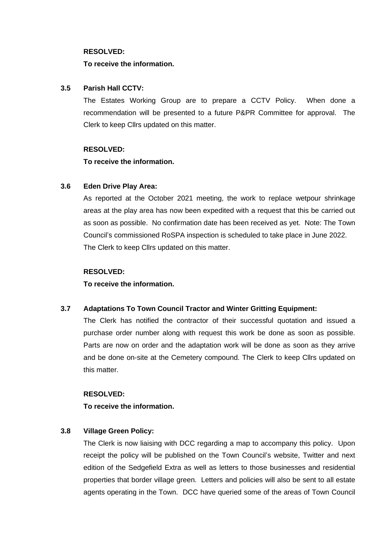#### **RESOLVED:**

#### **To receive the information.**

#### **3.5 Parish Hall CCTV:**

The Estates Working Group are to prepare a CCTV Policy. When done a recommendation will be presented to a future P&PR Committee for approval. The Clerk to keep Cllrs updated on this matter.

#### **RESOLVED:**

**To receive the information.**

### **3.6 Eden Drive Play Area:**

As reported at the October 2021 meeting, the work to replace wetpour shrinkage areas at the play area has now been expedited with a request that this be carried out as soon as possible. No confirmation date has been received as yet. Note: The Town Council's commissioned RoSPA inspection is scheduled to take place in June 2022. The Clerk to keep Cllrs updated on this matter.

#### **RESOLVED:**

**To receive the information.**

### **3.7 Adaptations To Town Council Tractor and Winter Gritting Equipment:**

The Clerk has notified the contractor of their successful quotation and issued a purchase order number along with request this work be done as soon as possible. Parts are now on order and the adaptation work will be done as soon as they arrive and be done on-site at the Cemetery compound. The Clerk to keep Cllrs updated on this matter.

#### **RESOLVED:**

**To receive the information.**

### **3.8 Village Green Policy:**

The Clerk is now liaising with DCC regarding a map to accompany this policy. Upon receipt the policy will be published on the Town Council's website, Twitter and next edition of the Sedgefield Extra as well as letters to those businesses and residential properties that border village green. Letters and policies will also be sent to all estate agents operating in the Town. DCC have queried some of the areas of Town Council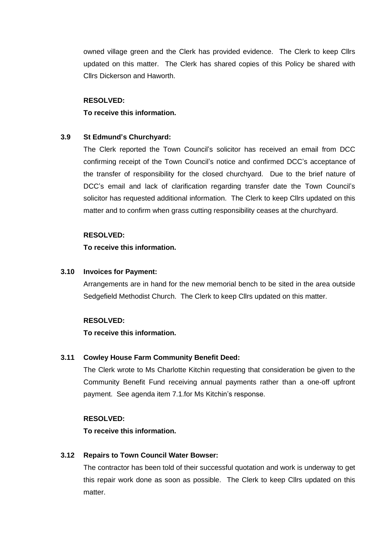owned village green and the Clerk has provided evidence. The Clerk to keep Cllrs updated on this matter. The Clerk has shared copies of this Policy be shared with Cllrs Dickerson and Haworth.

#### **RESOLVED:**

#### **To receive this information.**

#### **3.9 St Edmund's Churchyard:**

The Clerk reported the Town Council's solicitor has received an email from DCC confirming receipt of the Town Council's notice and confirmed DCC's acceptance of the transfer of responsibility for the closed churchyard. Due to the brief nature of DCC's email and lack of clarification regarding transfer date the Town Council's solicitor has requested additional information. The Clerk to keep Cllrs updated on this matter and to confirm when grass cutting responsibility ceases at the churchyard.

#### **RESOLVED:**

#### **To receive this information.**

#### **3.10 Invoices for Payment:**

Arrangements are in hand for the new memorial bench to be sited in the area outside Sedgefield Methodist Church. The Clerk to keep Cllrs updated on this matter.

#### **RESOLVED:**

#### **To receive this information.**

#### **3.11 Cowley House Farm Community Benefit Deed:**

The Clerk wrote to Ms Charlotte Kitchin requesting that consideration be given to the Community Benefit Fund receiving annual payments rather than a one-off upfront payment. See agenda item 7.1.for Ms Kitchin's response.

#### **RESOLVED:**

**To receive this information.**

#### **3.12 Repairs to Town Council Water Bowser:**

The contractor has been told of their successful quotation and work is underway to get this repair work done as soon as possible. The Clerk to keep Cllrs updated on this matter.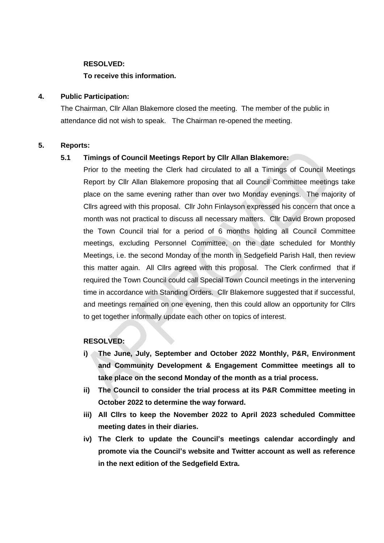#### **RESOLVED:**

#### **To receive this information.**

#### **4. Public Participation:**

The Chairman, Cllr Allan Blakemore closed the meeting. The member of the public in attendance did not wish to speak. The Chairman re-opened the meeting.

#### **5. Reports:**

#### **5.1 Timings of Council Meetings Report by Cllr Allan Blakemore:**

Prior to the meeting the Clerk had circulated to all a Timings of Council Meetings Report by Cllr Allan Blakemore proposing that all Council Committee meetings take place on the same evening rather than over two Monday evenings. The majority of Cllrs agreed with this proposal. Cllr John Finlayson expressed his concern that once a month was not practical to discuss all necessary matters. Cllr David Brown proposed the Town Council trial for a period of 6 months holding all Council Committee meetings, excluding Personnel Committee, on the date scheduled for Monthly Meetings, i.e. the second Monday of the month in Sedgefield Parish Hall, then review this matter again. All Cllrs agreed with this proposal. The Clerk confirmed that if required the Town Council could call Special Town Council meetings in the intervening time in accordance with Standing Orders. Cllr Blakemore suggested that if successful, and meetings remained on one evening, then this could allow an opportunity for Cllrs to get together informally update each other on topics of interest.

#### **RESOLVED:**

- **i) The June, July, September and October 2022 Monthly, P&R, Environment and Community Development & Engagement Committee meetings all to take place on the second Monday of the month as a trial process.**
- **ii) The Council to consider the trial process at its P&R Committee meeting in October 2022 to determine the way forward.**
- **iii) All Cllrs to keep the November 2022 to April 2023 scheduled Committee meeting dates in their diaries.**
- **iv) The Clerk to update the Council's meetings calendar accordingly and promote via the Council's website and Twitter account as well as reference in the next edition of the Sedgefield Extra.**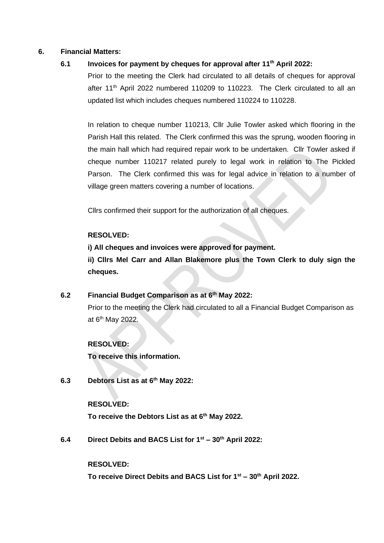#### **6. Financial Matters:**

### **6.1 Invoices for payment by cheques for approval after 11 th April 2022:**

Prior to the meeting the Clerk had circulated to all details of cheques for approval after 11<sup>th</sup> April 2022 numbered 110209 to 110223. The Clerk circulated to all an updated list which includes cheques numbered 110224 to 110228.

In relation to cheque number 110213, Cllr Julie Towler asked which flooring in the Parish Hall this related. The Clerk confirmed this was the sprung, wooden flooring in the main hall which had required repair work to be undertaken. Cllr Towler asked if cheque number 110217 related purely to legal work in relation to The Pickled Parson. The Clerk confirmed this was for legal advice in relation to a number of village green matters covering a number of locations.

Cllrs confirmed their support for the authorization of all cheques.

### **RESOLVED:**

**i) All cheques and invoices were approved for payment.**

**ii) Cllrs Mel Carr and Allan Blakemore plus the Town Clerk to duly sign the cheques.**

### **6.2 Financial Budget Comparison as at 6th May 2022:**

Prior to the meeting the Clerk had circulated to all a Financial Budget Comparison as at 6<sup>th</sup> May 2022.

### **RESOLVED:**

**To receive this information.**

**6.3 Debtors List as at 6 th May 2022:**

#### **RESOLVED:**

**To receive the Debtors List as at 6 th May 2022.**

**6.4 Direct Debits and BACS List for 1 st – 30th April 2022:**

#### **RESOLVED:**

**To receive Direct Debits and BACS List for 1 st – 30th April 2022.**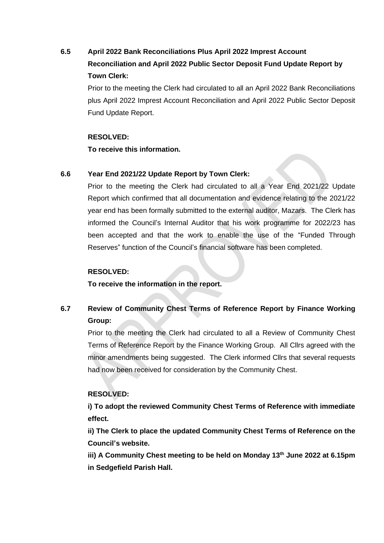# **6.5 April 2022 Bank Reconciliations Plus April 2022 Imprest Account Reconciliation and April 2022 Public Sector Deposit Fund Update Report by Town Clerk:**

Prior to the meeting the Clerk had circulated to all an April 2022 Bank Reconciliations plus April 2022 Imprest Account Reconciliation and April 2022 Public Sector Deposit Fund Update Report.

#### **RESOLVED:**

**To receive this information.** 

### **6.6 Year End 2021/22 Update Report by Town Clerk:**

Prior to the meeting the Clerk had circulated to all a Year End 2021/22 Update Report which confirmed that all documentation and evidence relating to the 2021/22 year end has been formally submitted to the external auditor, Mazars. The Clerk has informed the Council's Internal Auditor that his work programme for 2022/23 has been accepted and that the work to enable the use of the "Funded Through Reserves" function of the Council's financial software has been completed.

### **RESOLVED:**

**To receive the information in the report.**

# **6.7 Review of Community Chest Terms of Reference Report by Finance Working Group:**

Prior to the meeting the Clerk had circulated to all a Review of Community Chest Terms of Reference Report by the Finance Working Group. All Cllrs agreed with the minor amendments being suggested. The Clerk informed Cllrs that several requests had now been received for consideration by the Community Chest.

### **RESOLVED:**

**i) To adopt the reviewed Community Chest Terms of Reference with immediate effect.**

**ii) The Clerk to place the updated Community Chest Terms of Reference on the Council's website.**

**iii) A Community Chest meeting to be held on Monday 13th June 2022 at 6.15pm in Sedgefield Parish Hall.**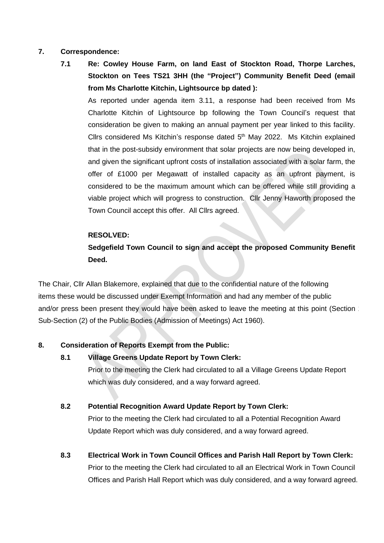#### **7. Correspondence:**

**7.1 Re: Cowley House Farm, on land East of Stockton Road, Thorpe Larches, Stockton on Tees TS21 3HH (the "Project") Community Benefit Deed (email from Ms Charlotte Kitchin, Lightsource bp dated ):**

As reported under agenda item 3.11, a response had been received from Ms Charlotte Kitchin of Lightsource bp following the Town Council's request that consideration be given to making an annual payment per year linked to this facility. Cllrs considered Ms Kitchin's response dated  $5<sup>th</sup>$  May 2022. Ms Kitchin explained that in the post-subsidy environment that solar projects are now being developed in, and given the significant upfront costs of installation associated with a solar farm, the offer of £1000 per Megawatt of installed capacity as an upfront payment, is considered to be the maximum amount which can be offered while still providing a viable project which will progress to construction. Cllr Jenny Haworth proposed the Town Council accept this offer. All Cllrs agreed.

#### **RESOLVED:**

## **Sedgefield Town Council to sign and accept the proposed Community Benefit Deed.**

The Chair, Cllr Allan Blakemore, explained that due to the confidential nature of the following items these would be discussed under Exempt Information and had any member of the public and/or press been present they would have been asked to leave the meeting at this point (Section 1 Sub-Section (2) of the Public Bodies (Admission of Meetings) Act 1960).

#### **8. Consideration of Reports Exempt from the Public:**

**8.1 Village Greens Update Report by Town Clerk:**

Prior to the meeting the Clerk had circulated to all a Village Greens Update Report which was duly considered, and a way forward agreed.

#### **8.2 Potential Recognition Award Update Report by Town Clerk:**

Prior to the meeting the Clerk had circulated to all a Potential Recognition Award Update Report which was duly considered, and a way forward agreed.

**8.3 Electrical Work in Town Council Offices and Parish Hall Report by Town Clerk:** Prior to the meeting the Clerk had circulated to all an Electrical Work in Town Council Offices and Parish Hall Report which was duly considered, and a way forward agreed.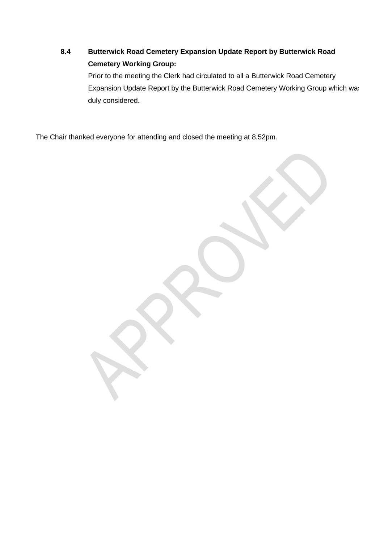# **8.4 Butterwick Road Cemetery Expansion Update Report by Butterwick Road Cemetery Working Group:**

Prior to the meeting the Clerk had circulated to all a Butterwick Road Cemetery Expansion Update Report by the Butterwick Road Cemetery Working Group which was duly considered.

The Chair thanked everyone for attending and closed the meeting at 8.52pm.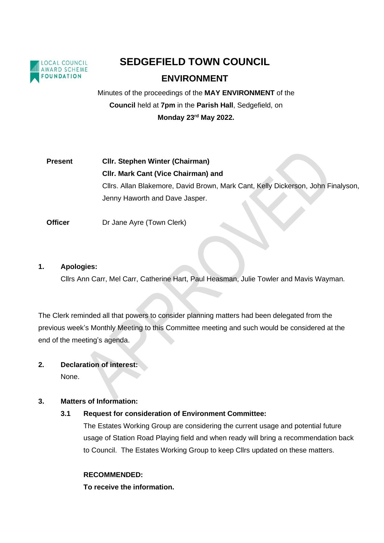

# **SEDGEFIELD TOWN COUNCIL**

# **ENVIRONMENT**

Minutes of the proceedings of the **MAY ENVIRONMENT** of the **Council** held at **7pm** in the **Parish Hall**, Sedgefield, on **Monday 23rd May 2022.** 

# **Present Cllr. Stephen Winter (Chairman) Cllr. Mark Cant (Vice Chairman) and** Cllrs. Allan Blakemore, David Brown, Mark Cant, Kelly Dickerson, John Finalyson, Jenny Haworth and Dave Jasper.

**Officer** Dr Jane Ayre (Town Clerk)

#### **1. Apologies:**

Cllrs Ann Carr, Mel Carr, Catherine Hart, Paul Heasman, Julie Towler and Mavis Wayman.

The Clerk reminded all that powers to consider planning matters had been delegated from the previous week's Monthly Meeting to this Committee meeting and such would be considered at the end of the meeting's agenda.

### **2. Declaration of interest:** None.

### **3. Matters of Information:**

### **3.1 Request for consideration of Environment Committee:**

The Estates Working Group are considering the current usage and potential future usage of Station Road Playing field and when ready will bring a recommendation back to Council. The Estates Working Group to keep Cllrs updated on these matters.

#### **RECOMMENDED:**

**To receive the information.**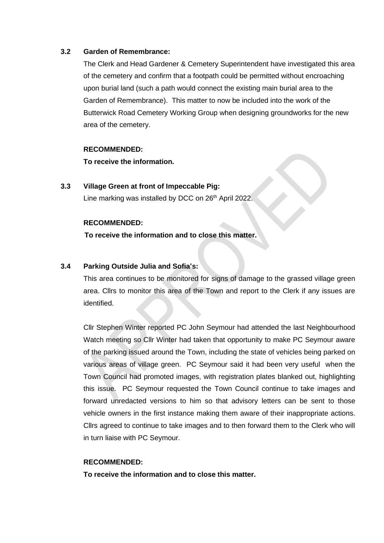#### **3.2 Garden of Remembrance:**

The Clerk and Head Gardener & Cemetery Superintendent have investigated this area of the cemetery and confirm that a footpath could be permitted without encroaching upon burial land (such a path would connect the existing main burial area to the Garden of Remembrance). This matter to now be included into the work of the Butterwick Road Cemetery Working Group when designing groundworks for the new area of the cemetery.

#### **RECOMMENDED:**

**To receive the information.**

### **3.3 Village Green at front of Impeccable Pig:** Line marking was installed by DCC on 26<sup>th</sup> April 2022.

#### **RECOMMENDED:**

**To receive the information and to close this matter.**

#### **3.4 Parking Outside Julia and Sofia's:**

This area continues to be monitored for signs of damage to the grassed village green area. Cllrs to monitor this area of the Town and report to the Clerk if any issues are identified.

Cllr Stephen Winter reported PC John Seymour had attended the last Neighbourhood Watch meeting so Cllr Winter had taken that opportunity to make PC Seymour aware of the parking issued around the Town, including the state of vehicles being parked on various areas of village green. PC Seymour said it had been very useful when the Town Council had promoted images, with registration plates blanked out, highlighting this issue. PC Seymour requested the Town Council continue to take images and forward unredacted versions to him so that advisory letters can be sent to those vehicle owners in the first instance making them aware of their inappropriate actions. Cllrs agreed to continue to take images and to then forward them to the Clerk who will in turn liaise with PC Seymour.

#### **RECOMMENDED:**

**To receive the information and to close this matter.**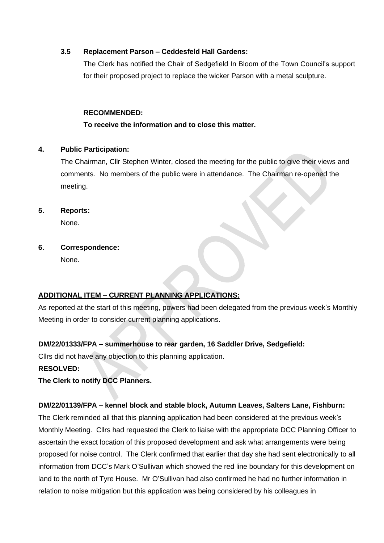### **3.5 Replacement Parson – Ceddesfeld Hall Gardens:**

The Clerk has notified the Chair of Sedgefield In Bloom of the Town Council's support for their proposed project to replace the wicker Parson with a metal sculpture.

### **RECOMMENDED:**

### **To receive the information and to close this matter.**

#### **4. Public Participation:**

The Chairman, Cllr Stephen Winter, closed the meeting for the public to give their views and comments. No members of the public were in attendance. The Chairman re-opened the meeting.

**5. Reports:**

None.

**6. Correspondence:**

None.

### **ADDITIONAL ITEM – CURRENT PLANNING APPLICATIONS:**

As reported at the start of this meeting, powers had been delegated from the previous week's Monthly Meeting in order to consider current planning applications.

### **DM/22/01333/FPA – summerhouse to rear garden, 16 Saddler Drive, Sedgefield:**

Cllrs did not have any objection to this planning application.

### **RESOLVED:**

**The Clerk to notify DCC Planners.**

### **DM/22/01139/FPA – kennel block and stable block, Autumn Leaves, Salters Lane, Fishburn:**

The Clerk reminded all that this planning application had been considered at the previous week's Monthly Meeting. Cllrs had requested the Clerk to liaise with the appropriate DCC Planning Officer to ascertain the exact location of this proposed development and ask what arrangements were being proposed for noise control. The Clerk confirmed that earlier that day she had sent electronically to all information from DCC's Mark O'Sullivan which showed the red line boundary for this development on land to the north of Tyre House. Mr O'Sullivan had also confirmed he had no further information in relation to noise mitigation but this application was being considered by his colleagues in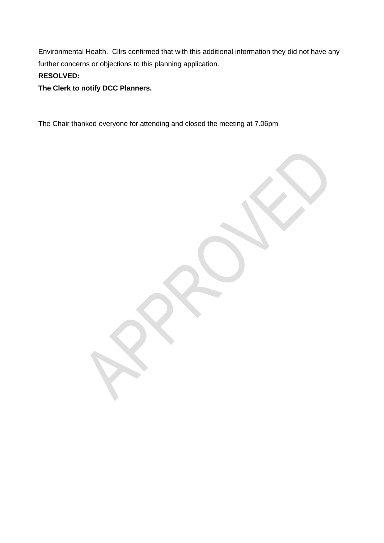Environmental Health. Cllrs confirmed that with this additional information they did not have any further concerns or objections to this planning application. **RESOLVED:**

## **The Clerk to notify DCC Planners.**

The Chair thanked everyone for attending and closed the meeting at 7.06pm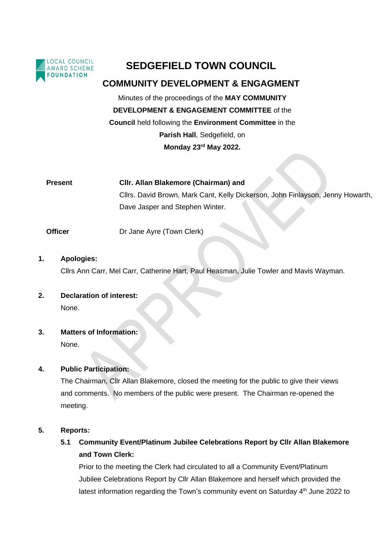

# **SEDGEFIELD TOWN COUNCIL**

## **COMMUNITY DEVELOPMENT & ENGAGMENT**

Minutes of the proceedings of the **MAY COMMUNITY DEVELOPMENT & ENGAGEMENT COMMITTEE** of the **Council** held following the **Environment Committee** in the **Parish Hall**, Sedgefield, on **Monday 23rd May 2022.**

**Present Cllr. Allan Blakemore (Chairman) and** Cllrs. David Brown, Mark Cant, Kelly Dickerson, John Finlayson, Jenny Howarth, Dave Jasper and Stephen Winter.

**Officer Dr Jane Ayre (Town Clerk)** 

**1. Apologies:**

Cllrs Ann Carr, Mel Carr, Catherine Hart, Paul Heasman, Julie Towler and Mavis Wayman.

**2. Declaration of interest:** None.

**3. Matters of Information:**

None.

### **4. Public Participation:**

The Chairman, Cllr Allan Blakemore, closed the meeting for the public to give their views and comments. No members of the public were present. The Chairman re-opened the meeting.

#### **5. Reports:**

**5.1 Community Event/Platinum Jubilee Celebrations Report by Cllr Allan Blakemore and Town Clerk:**

Prior to the meeting the Clerk had circulated to all a Community Event/Platinum Jubilee Celebrations Report by Cllr Allan Blakemore and herself which provided the latest information regarding the Town's community event on Saturday 4<sup>th</sup> June 2022 to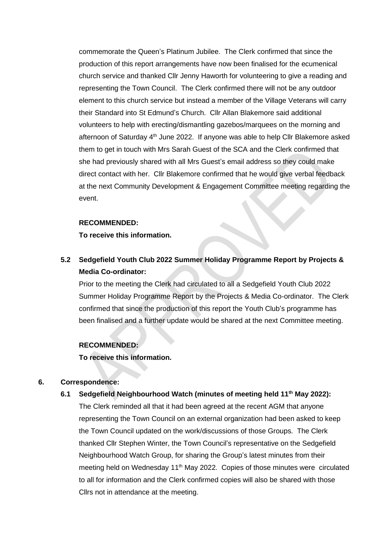commemorate the Queen's Platinum Jubilee. The Clerk confirmed that since the production of this report arrangements have now been finalised for the ecumenical church service and thanked Cllr Jenny Haworth for volunteering to give a reading and representing the Town Council. The Clerk confirmed there will not be any outdoor element to this church service but instead a member of the Village Veterans will carry their Standard into St Edmund's Church. Cllr Allan Blakemore said additional volunteers to help with erecting/dismantling gazebos/marquees on the morning and afternoon of Saturday 4<sup>th</sup> June 2022. If anyone was able to help Cllr Blakemore asked them to get in touch with Mrs Sarah Guest of the SCA and the Clerk confirmed that she had previously shared with all Mrs Guest's email address so they could make direct contact with her. Cllr Blakemore confirmed that he would give verbal feedback at the next Community Development & Engagement Committee meeting regarding the event.

#### **RECOMMENDED:**

**To receive this information.**

# **5.2 Sedgefield Youth Club 2022 Summer Holiday Programme Report by Projects & Media Co-ordinator:**

Prior to the meeting the Clerk had circulated to all a Sedgefield Youth Club 2022 Summer Holiday Programme Report by the Projects & Media Co-ordinator. The Clerk confirmed that since the production of this report the Youth Club's programme has been finalised and a further update would be shared at the next Committee meeting.

#### **RECOMMENDED:**

**To receive this information.**

#### **6. Correspondence:**

**6.1 Sedgefield Neighbourhood Watch (minutes of meeting held 11th May 2022):**

The Clerk reminded all that it had been agreed at the recent AGM that anyone representing the Town Council on an external organization had been asked to keep the Town Council updated on the work/discussions of those Groups. The Clerk thanked Cllr Stephen Winter, the Town Council's representative on the Sedgefield Neighbourhood Watch Group, for sharing the Group's latest minutes from their meeting held on Wednesday 11<sup>th</sup> May 2022. Copies of those minutes were circulated to all for information and the Clerk confirmed copies will also be shared with those Cllrs not in attendance at the meeting.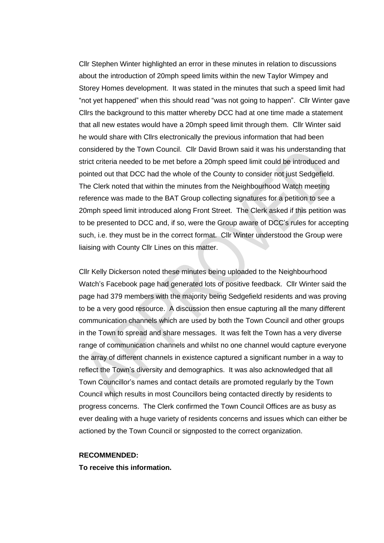Cllr Stephen Winter highlighted an error in these minutes in relation to discussions about the introduction of 20mph speed limits within the new Taylor Wimpey and Storey Homes development. It was stated in the minutes that such a speed limit had "not yet happened" when this should read "was not going to happen". Cllr Winter gave Cllrs the background to this matter whereby DCC had at one time made a statement that all new estates would have a 20mph speed limit through them. Cllr Winter said he would share with Cllrs electronically the previous information that had been considered by the Town Council. Cllr David Brown said it was his understanding that strict criteria needed to be met before a 20mph speed limit could be introduced and pointed out that DCC had the whole of the County to consider not just Sedgefield. The Clerk noted that within the minutes from the Neighbourhood Watch meeting reference was made to the BAT Group collecting signatures for a petition to see a 20mph speed limit introduced along Front Street. The Clerk asked if this petition was to be presented to DCC and, if so, were the Group aware of DCC's rules for accepting such, i.e. they must be in the correct format. Cllr Winter understood the Group were liaising with County Cllr Lines on this matter.

Cllr Kelly Dickerson noted these minutes being uploaded to the Neighbourhood Watch's Facebook page had generated lots of positive feedback. Cllr Winter said the page had 379 members with the majority being Sedgefield residents and was proving to be a very good resource. A discussion then ensue capturing all the many different communication channels which are used by both the Town Council and other groups in the Town to spread and share messages. It was felt the Town has a very diverse range of communication channels and whilst no one channel would capture everyone the array of different channels in existence captured a significant number in a way to reflect the Town's diversity and demographics. It was also acknowledged that all Town Councillor's names and contact details are promoted regularly by the Town Council which results in most Councillors being contacted directly by residents to progress concerns. The Clerk confirmed the Town Council Offices are as busy as ever dealing with a huge variety of residents concerns and issues which can either be actioned by the Town Council or signposted to the correct organization.

#### **RECOMMENDED:**

**To receive this information.**